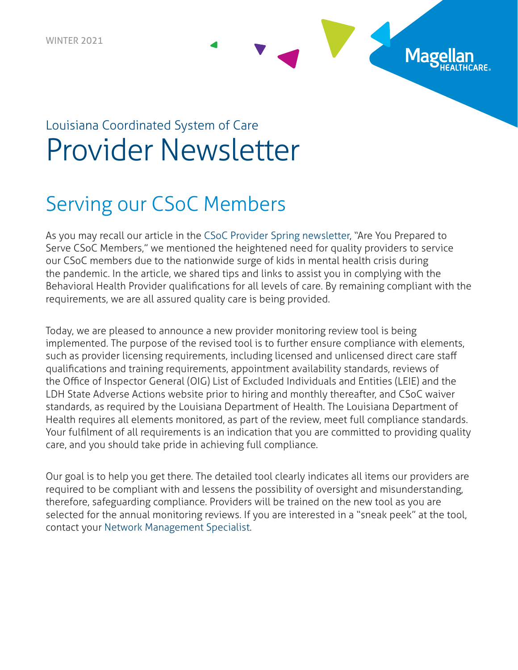## Louisiana Coordinated System of Care Provider Newsletter

### Serving our CSoC Members

As you may recall our article in the [CSoC Provider Spring newsletter](https://www.magellanoflouisiana.com/documents/2021/04/spring-2021-provider-newsletter.pdf/), "Are You Prepared to Serve CSoC Members," we mentioned the heightened need for quality providers to service our CSoC members due to the nationwide surge of kids in mental health crisis during the pandemic. In the article, we shared tips and links to assist you in complying with the Behavioral Health Provider qualifications for all levels of care. By remaining compliant with the requirements, we are all assured quality care is being provided.

Mage

Today, we are pleased to announce a new provider monitoring review tool is being implemented. The purpose of the revised tool is to further ensure compliance with elements, such as provider licensing requirements, including licensed and unlicensed direct care staff qualifications and training requirements, appointment availability standards, reviews of the Office of Inspector General (OIG) List of Excluded Individuals and Entities (LEIE) and the LDH State Adverse Actions website prior to hiring and monthly thereafter, and CSoC waiver standards, as required by the Louisiana Department of Health. The Louisiana Department of Health requires all elements monitored, as part of the review, meet full compliance standards. Your fulfilment of all requirements is an indication that you are committed to providing quality care, and you should take pride in achieving full compliance.

Our goal is to help you get there. The detailed tool clearly indicates all items our providers are required to be compliant with and lessens the possibility of oversight and misunderstanding, therefore, safeguarding compliance. Providers will be trained on the new tool as you are selected for the annual monitoring reviews. If you are interested in a "sneak peek" at the tool, contact your [Network Management Specialist](https://www.magellanoflouisiana.com/for-providers/provider-toolkit/network-management-specialists-csoc-regional-contacts/).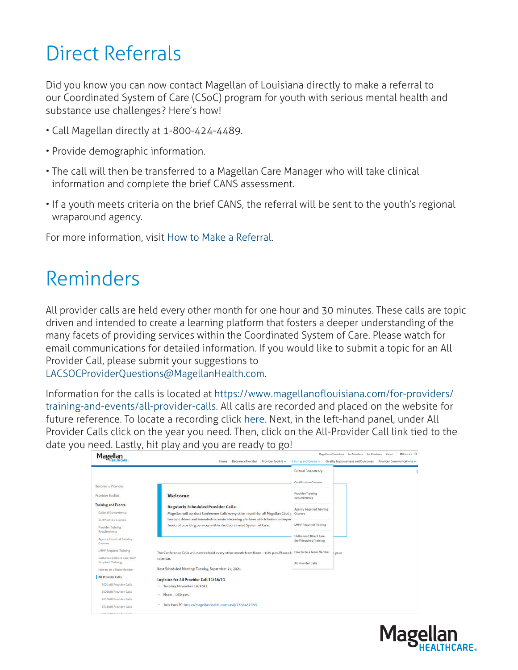# Direct Referrals

Did you know you can now contact Magellan of Louisiana directly to make a referral to our Coordinated System of Care (CSoC) program for youth with serious mental health and substance use challenges? Here's how!

- Call Magellan directly at 1-800-424-4489.
- Provide demographic information.
- The call will then be transferred to a Magellan Care Manager who will take clinical information and complete the brief CANS assessment.
- If a youth meets criteria on the brief CANS, the referral will be sent to the youth's regional wraparound agency.

For more information, visit [How to Make a Referral.](https://www.magellanoflouisiana.com/home/how-to-make-a-referral/)

### Reminders

All provider calls are held every other month for one hour and 30 minutes. These calls are topic driven and intended to create a learning platform that fosters a deeper understanding of the many facets of providing services within the Coordinated System of Care. Please watch for email communications for detailed information. If you would like to submit a topic for an All Provider Call, please submit your suggestions to

[LACSOCProviderQuestions@MagellanHealth.com.](mailto:LACSOCProviderQuestions%40MagellanHealth.com?subject=)

Information for the calls is located at [https://www.magellanoflouisiana.com/for-providers/](https://www.magellanoflouisiana.com/for-providers/training-and-events/all-provider-calls) [training-and-events/all-provider-calls](https://www.magellanoflouisiana.com/for-providers/training-and-events/all-provider-calls). All calls are recorded and placed on the website for future reference. To locate a recording click [here](https://www.magellanoflouisiana.com/for-providers/training-and-events/all-provider-calls/). Next, in the left-hand panel, under All Provider Calls click on the year you need. Then, click on the All-Provider Call link tied to the date you need. Lastly, hit play and you are ready to go!

| Magellan                                                        | <b>Become a Provider</b><br>Provider Toolkit ~<br>Home                                                                                                   | Training and Events V                             | Magellan of Louisiana For Members For Providers About<br>器Contact Q<br>Quality Improvement and Outcomes<br>Provider Communications v |
|-----------------------------------------------------------------|----------------------------------------------------------------------------------------------------------------------------------------------------------|---------------------------------------------------|--------------------------------------------------------------------------------------------------------------------------------------|
|                                                                 |                                                                                                                                                          | Cultural Competency                               |                                                                                                                                      |
| <b>Become a Provider</b>                                        |                                                                                                                                                          | Certification Courses                             |                                                                                                                                      |
| <b>Provider Toolkit</b>                                         | Welcome                                                                                                                                                  | Provider Training<br>Requirements                 |                                                                                                                                      |
| <b>Training and Events</b><br><b>Cultural Competency</b>        | <b>Regularly Scheduled Provider Calls:</b><br>Magellan will conduct Conference Calls every other month for all Magellan CSoC I                           | Agency Required Training<br>Courses               |                                                                                                                                      |
| <b>Certification Courses</b><br>Provider Training               | be topic driven and intended to create a learning platform which fosters a deeper<br>facets of providing services within the Coordinated System of Care. | <b>LMHP Required Training</b>                     |                                                                                                                                      |
| Requirements<br>Agency Regulred Training<br>Courses             |                                                                                                                                                          | Unlicensed Direct Care<br>Staff Required Training |                                                                                                                                      |
| <b>LMHP</b> Required Training                                   | The Conference Calls will now be held every other month from Noon - 1:30 p.m. Please Ł                                                                   | How to be a Team Member                           | vour                                                                                                                                 |
| <b>Unlicensed Direct Care Staff</b><br><b>Required Training</b> | calendar.                                                                                                                                                | All Provider Calls                                |                                                                                                                                      |
| How to be a Team Member                                         | Next Scheduled Meeting: Tuesday, September 21, 2021                                                                                                      |                                                   |                                                                                                                                      |
| <b>All Provider Calls</b>                                       | Logistics for All Provider Call 11/16/21                                                                                                                 |                                                   |                                                                                                                                      |
| 2021 All Provider Calls                                         | Tuesday, November 16, 2021<br>$\bullet$                                                                                                                  |                                                   |                                                                                                                                      |
| 2020 All Provider Calls                                         | Noon - 1:30 p.m.                                                                                                                                         |                                                   |                                                                                                                                      |
| 2019 All Provider Calls                                         |                                                                                                                                                          |                                                   |                                                                                                                                      |
| 2018 All Provider Calls                                         | Join from PC: https://magellanhealth.zoom.us/j/7788457383<br>٠                                                                                           |                                                   |                                                                                                                                      |

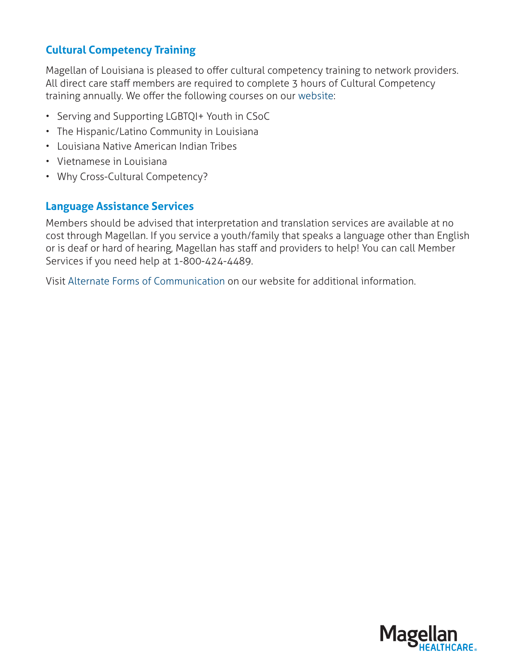#### **Cultural Competency Training**

Magellan of Louisiana is pleased to offer cultural competency training to network providers. All direct care staff members are required to complete 3 hours of Cultural Competency training annually. We offer the following courses on our [website](https://www.magellanoflouisiana.com/for-providers/training-and-events/cultural-competency/):

- Serving and Supporting LGBTQI+ Youth in CSoC
- The Hispanic/Latino Community in Louisiana
- Louisiana Native American Indian Tribes
- Vietnamese in Louisiana
- Why Cross-Cultural Competency?

#### **Language Assistance Services**

Members should be advised that interpretation and translation services are available at no cost through Magellan. If you service a youth/family that speaks a language other than English or is deaf or hard of hearing, Magellan has staff and providers to help! You can call Member Services if you need help at 1-800-424-4489.

Visit [Alternate Forms of Communication](https://www.magellanoflouisiana.com/for-members/member-materials/member-resources/alternate-forms-of-communication/) on our website for additional information.